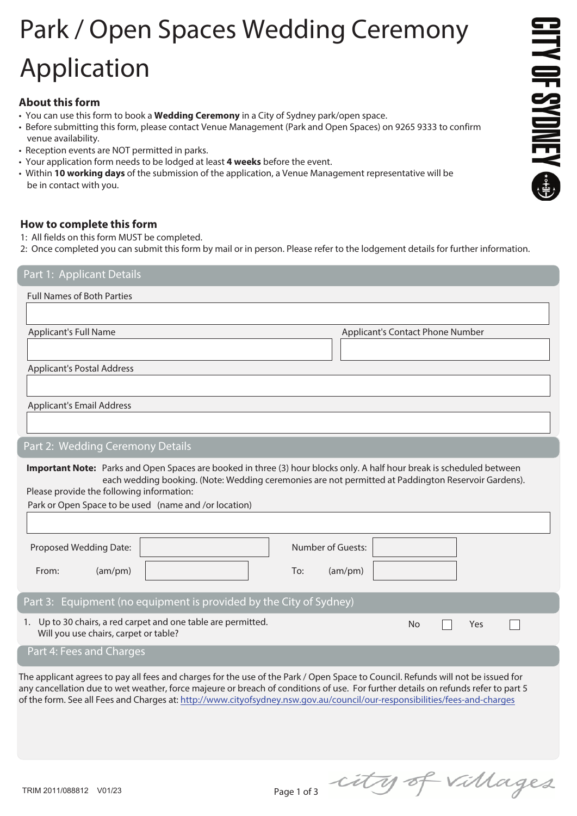# Park / Open Spaces Wedding Ceremony j Application

## **About this form**

- You can use this form to book a **Wedding Ceremony** in a City of Sydney park/open space.
- Before submitting this form, please contact Venue Management (Park and Open Spaces) on 9265 9333 to confirm venue availability.
- Reception events are NOT permitted in parks.
- Your application form needs to be lodged at least **4 weeks** before the event.
- Within **10 working days** of the submission of the application, a Venue Management representative will be be in contact with you.

## **How to complete this form**

- 1: All fields on this form MUST be completed.
- 2: Once completed you can submit this form by mail or in person. Please refer to the lodgement details for further information.

Part 1: Applicant Details

Full Names of Both Parties

Applicant's Full Name **Applicant's Contact Phone Number** Applicant's Contact Phone Number

Applicant's Postal Address

Applicant's Email Address

# Part 2: Wedding Ceremony Details

**Important Note:** Parks and Open Spaces are booked in three (3) hour blocks only. A half hour break is scheduled between each wedding booking. (Note: Wedding ceremonies are not permitted at Paddington Reservoir Gardens). Please provide the following information:

Park or Open Space to be used (name and /or location)

| Proposed Wedding Date:                                                                                              | Number of Guests: |
|---------------------------------------------------------------------------------------------------------------------|-------------------|
| From:<br>(am/pm)                                                                                                    | To:<br>(am/pm)    |
| Part 3: Equipment (no equipment is provided by the City of Sydney)                                                  |                   |
| 1. Up to 30 chairs, a red carpet and one table are permitted.<br>No<br>Yes<br>Will you use chairs, carpet or table? |                   |
| Part 4: Fees and Charges                                                                                            |                   |

The applicant agrees to pay all fees and charges for the use of the Park / Open Space to Council. Refunds will not be issued for any cancellation due to wet weather, force majeure or breach of conditions of use. For further details on refunds refer to part 5 of the form. See all Fees and Charges at: http://www.cityofsydney.nsw.gov.au/council/our-responsibilities/fees-and-charges

**GITY OF SYDNEY @** 

Page 1 of 3 city of Villages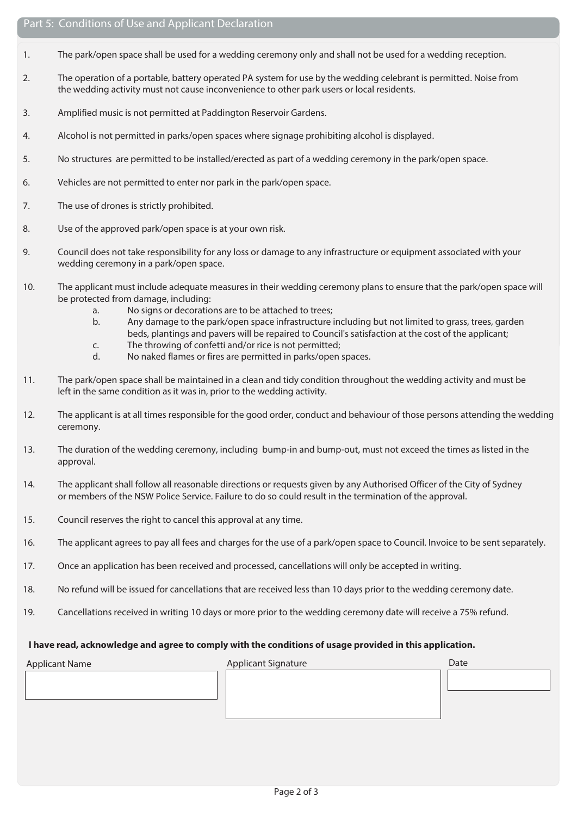- 1. The park/open space shall be used for a wedding ceremony only and shall not be used for a wedding reception.
- 2. The operation of a portable, battery operated PA system for use by the wedding celebrant is permitted. Noise from the wedding activity must not cause inconvenience to other park users or local residents.
- 3. Amplified music is not permitted at Paddington Reservoir Gardens.
- 4. Alcohol is not permitted in parks/open spaces where signage prohibiting alcohol is displayed.
- 5. No structures are permitted to be installed/erected as part of a wedding ceremony in the park/open space.
- 6. Vehicles are not permitted to enter nor park in the park/open space.
- 7. The use of drones is strictly prohibited.
- 8. Use of the approved park/open space is at your own risk.
- 9. Council does not take responsibility for any loss or damage to any infrastructure or equipment associated with your wedding ceremony in a park/open space.
- 10. The applicant must include adequate measures in their wedding ceremony plans to ensure that the park/open space will be protected from damage, including:
	- a. No signs or decorations are to be attached to trees;
	- b. Any damage to the park/open space infrastructure including but not limited to grass, trees, garden beds, plantings and pavers will be repaired to Council's satisfaction at the cost of the applicant;
	- c. The throwing of confetti and/or rice is not permitted;
	- d. No naked flames or fires are permitted in parks/open spaces.
- 11. The park/open space shall be maintained in a clean and tidy condition throughout the wedding activity and must be left in the same condition as it was in, prior to the wedding activity.
- 12. The applicant is at all times responsible for the good order, conduct and behaviour of those persons attending the wedding ceremony.
- 13. The duration of the wedding ceremony, including bump-in and bump-out, must not exceed the times as listed in the approval.
- 14. The applicant shall follow all reasonable directions or requests given by any Authorised Officer of the City of Sydney or members of the NSW Police Service. Failure to do so could result in the termination of the approval.
- 15. Council reserves the right to cancel this approval at any time.
- 16. The applicant agrees to pay all fees and charges for the use of a park/open space to Council. Invoice to be sent separately.
- 17. Once an application has been received and processed, cancellations will only be accepted in writing.
- 18. No refund will be issued for cancellations that are received less than 10 days prior to the wedding ceremony date.
- 19. Cancellations received in writing 10 days or more prior to the wedding ceremony date will receive a 75% refund.

#### **I have read, acknowledge and agree to comply with the conditions of usage provided in this application.**

Applicant Name **Applicant Signature** Applicant Signature Date Date